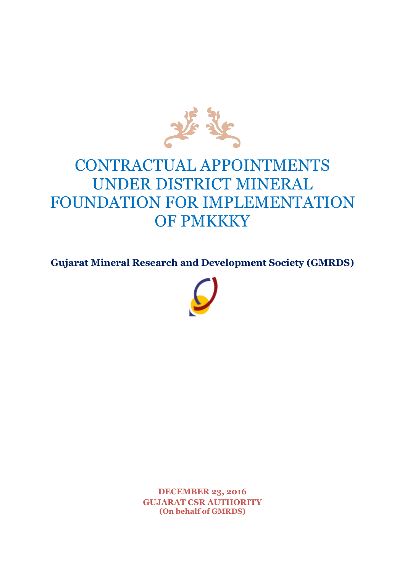

# CONTRACTUAL APPOINTMENTS UNDER DISTRICT MINERAL FOUNDATION FOR IMPLEMENTATION OF PMKKKY

**Gujarat Mineral Research and Development Society (GMRDS)**



**DECEMBER 23, 2016 GUJARAT CSR AUTHORITY (On behalf of GMRDS)**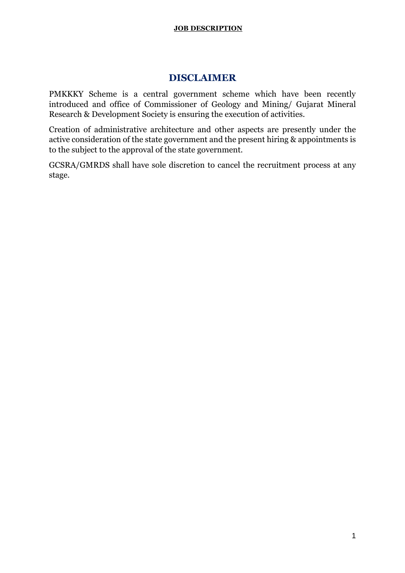#### **DISCLAIMER**

PMKKKY Scheme is a central government scheme which have been recently introduced and office of Commissioner of Geology and Mining/ Gujarat Mineral Research & Development Society is ensuring the execution of activities.

Creation of administrative architecture and other aspects are presently under the active consideration of the state government and the present hiring & appointments is to the subject to the approval of the state government.

GCSRA/GMRDS shall have sole discretion to cancel the recruitment process at any stage.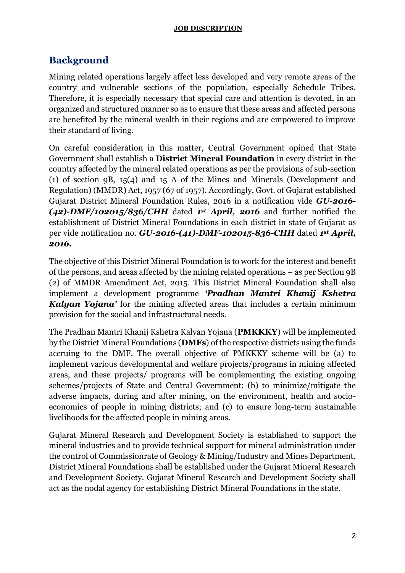# **Background**

Mining related operations largely affect less developed and very remote areas of the country and vulnerable sections of the population, especially Schedule Tribes. Therefore, it is especially necessary that special care and attention is devoted, in an organized and structured manner so as to ensure that these areas and affected persons are benefited by the mineral wealth in their regions and are empowered to improve their standard of living.

On careful consideration in this matter, Central Government opined that State Government shall establish a **District Mineral Foundation** in every district in the country affected by the mineral related operations as per the provisions of sub-section (1) of section 9B, 15(4) and 15 A of the Mines and Minerals (Development and Regulation) (MMDR) Act, 1957 (67 of 1957). Accordingly, Govt. of Gujarat established Gujarat District Mineral Foundation Rules, 2016 in a notification vide *GU-2016- (42)-DMF/102015/836/CHH* dated *1 st April, 2016* and further notified the establishment of District Mineral Foundations in each district in state of Gujarat as per vide notification no. *GU-2016-(41)-DMF-102015-836-CHH* dated *1 st April, 2016.*

The objective of this District Mineral Foundation is to work for the interest and benefit of the persons, and areas affected by the mining related operations – as per Section 9B (2) of MMDR Amendment Act, 2015. This District Mineral Foundation shall also implement a development programme *'Pradhan Mantri Khanij Kshetra Kalyan Yojana'* for the mining affected areas that includes a certain minimum provision for the social and infrastructural needs.

The Pradhan Mantri Khanij Kshetra Kalyan Yojana (**PMKKKY**) will be implemented by the District Mineral Foundations (**DMFs**) of the respective districts using the funds accruing to the DMF. The overall objective of PMKKKY scheme will be (a) to implement various developmental and welfare projects/programs in mining affected areas, and these projects/ programs will be complementing the existing ongoing schemes/projects of State and Central Government; (b) to minimize/mitigate the adverse impacts, during and after mining, on the environment, health and socioeconomics of people in mining districts; and (c) to ensure long-term sustainable livelihoods for the affected people in mining areas.

Gujarat Mineral Research and Development Society is established to support the mineral industries and to provide technical support for mineral administration under the control of Commissionrate of Geology & Mining/Industry and Mines Department. District Mineral Foundations shall be established under the Gujarat Mineral Research and Development Society. Gujarat Mineral Research and Development Society shall act as the nodal agency for establishing District Mineral Foundations in the state.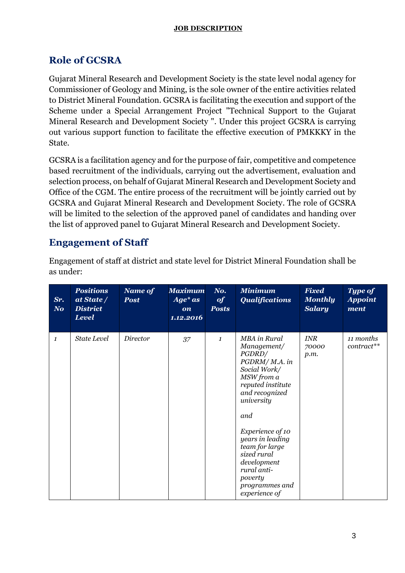# **Role of GCSRA**

Gujarat Mineral Research and Development Society is the state level nodal agency for Commissioner of Geology and Mining, is the sole owner of the entire activities related to District Mineral Foundation. GCSRA is facilitating the execution and support of the Scheme under a Special Arrangement Project "Technical Support to the Gujarat Mineral Research and Development Society ". Under this project GCSRA is carrying out various support function to facilitate the effective execution of PMKKKY in the State.

GCSRA is a facilitation agency and for the purpose of fair, competitive and competence based recruitment of the individuals, carrying out the advertisement, evaluation and selection process, on behalf of Gujarat Mineral Research and Development Society and Office of the CGM. The entire process of the recruitment will be jointly carried out by GCSRA and Gujarat Mineral Research and Development Society. The role of GCSRA will be limited to the selection of the approved panel of candidates and handing over the list of approved panel to Gujarat Mineral Research and Development Society.

### **Engagement of Staff**

| Sr.<br>N <sub>o</sub> | <b>Positions</b><br>at State /<br><b>District</b><br><b>Level</b> | Name of<br><b>Post</b> | <b>Maximum</b><br>$Age* as$<br>on<br>1.12.2016 | No.<br>of<br><b>Posts</b> | <b>Minimum</b><br><b>Qualifications</b>                                                                                                                                                                                                                                                               | <b>Fixed</b><br><b>Monthly</b><br><b>Salary</b> | <b>Type of</b><br><b>Appoint</b><br>ment |
|-----------------------|-------------------------------------------------------------------|------------------------|------------------------------------------------|---------------------------|-------------------------------------------------------------------------------------------------------------------------------------------------------------------------------------------------------------------------------------------------------------------------------------------------------|-------------------------------------------------|------------------------------------------|
| 1                     | <b>State Level</b>                                                | Director               | 37                                             | 1                         | MBA in Rural<br>Management/<br>PGDRD/<br>PGDRM/M.A. in<br>Social Work/<br>MSW from a<br>reputed institute<br>and recognized<br>university<br>and<br>Experience of 10<br>years in leading<br>team for large<br>sized rural<br>development<br>rural anti-<br>poverty<br>programmes and<br>experience of | <b>INR</b><br>70000<br>p.m.                     | 11 months<br>contract**                  |

Engagement of staff at district and state level for District Mineral Foundation shall be as under: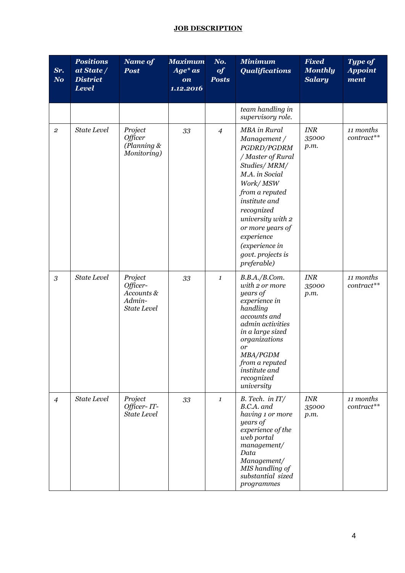| Sr.<br>N <sub>o</sub> | <b>Positions</b><br>at State /<br><b>District</b><br><b>Level</b> | <b>Name of</b><br><b>Post</b>                                     | <b>Maximum</b><br>$Age* as$<br>on<br>1.12.2016 | No.<br>of<br><b>Posts</b> | <b>Minimum</b><br><b>Qualifications</b>                                                                                                                                                                                                                                             | <b>Fixed</b><br><b>Monthly</b><br><b>Salary</b> | <b>Type of</b><br><b>Appoint</b><br>ment |
|-----------------------|-------------------------------------------------------------------|-------------------------------------------------------------------|------------------------------------------------|---------------------------|-------------------------------------------------------------------------------------------------------------------------------------------------------------------------------------------------------------------------------------------------------------------------------------|-------------------------------------------------|------------------------------------------|
|                       |                                                                   |                                                                   |                                                |                           | team handling in<br>supervisory role.                                                                                                                                                                                                                                               |                                                 |                                          |
| $\overline{2}$        | <b>State Level</b>                                                | Project<br>Officer<br>(Planning $\&$<br>Monitoring)               | 33                                             | $\overline{4}$            | <b>MBA</b> in Rural<br>Management /<br>PGDRD/PGDRM<br>/ Master of Rural<br>Studies/MRM/<br>M.A. in Social<br>Work/MSW<br>from a reputed<br>institute and<br>recognized<br>university with 2<br>or more years of<br>experience<br>(experience in<br>govt. projects is<br>preferable) | $\ensuremath{\textit{INR}}$<br>35000<br>p.m.    | 11 months<br>contract**                  |
| 3                     | <b>State Level</b>                                                | Project<br>Officer-<br>Accounts &<br>Admin-<br><b>State Level</b> | 33                                             | 1                         | B.B.A./B. Com.<br>with 2 or more<br>years of<br>experience in<br>handling<br>accounts and<br>admin activities<br>in a large sized<br>organizations<br>or<br>MBA/PGDM<br>from a reputed<br>institute and<br>recognized<br>university                                                 | <b>INR</b><br>35000<br>p.m.                     | 11 months<br>contract**                  |
| $\overline{4}$        | <b>State Level</b>                                                | Project<br>Officer-IT-<br><b>State Level</b>                      | 33                                             | 1                         | $B.$ Tech. in $IT/$<br>B.C.A. and<br>having 1 or more<br>years of<br>experience of the<br>web portal<br>management/<br>Data<br>Management/<br>MIS handling of<br>substantial sized<br>programmes                                                                                    | <b>INR</b><br>35000<br>p.m.                     | 11 months<br>contract**                  |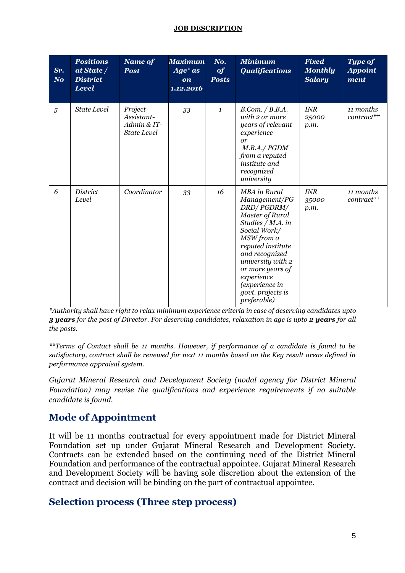| Sr.<br>N <sub>o</sub> | <b>Positions</b><br>at State /<br><b>District</b><br><b>Level</b> | Name of<br><b>Post</b>                                     | <b>Maximum</b><br>$Age* as$<br><b>on</b><br>1.12.2016 | No.<br>of<br><b>Posts</b> | <b>Minimum</b><br><b>Qualifications</b>                                                                                                                                                                                                                                      | <b>Fixed</b><br><b>Monthly</b><br><b>Salary</b> | <b>Type of</b><br><b>Appoint</b><br>ment |
|-----------------------|-------------------------------------------------------------------|------------------------------------------------------------|-------------------------------------------------------|---------------------------|------------------------------------------------------------------------------------------------------------------------------------------------------------------------------------------------------------------------------------------------------------------------------|-------------------------------------------------|------------------------------------------|
| 5                     | State Level                                                       | Project<br>Assistant-<br>Admin & IT-<br><b>State Level</b> | 33                                                    | $\mathbf{1}$              | B. Com. / B.B.A.<br>with 2 or more<br>years of relevant<br>experience<br>or<br>$M.B.A./$ $PGDM$<br>from a reputed<br>institute and<br>recognized<br>university                                                                                                               | <b>INR</b><br>25000<br>p.m.                     | 11 months<br>contract**                  |
| 6                     | District<br>Level                                                 | Coordinator                                                | 33                                                    | 16                        | <b>MBA</b> in Rural<br>Management/PG<br>DRD/PGDRM/<br>Master of Rural<br>Studies / M.A. in<br>Social Work/<br>MSW from a<br>reputed institute<br>and recognized<br>university with 2<br>or more years of<br>experience<br>(experience in<br>govt. projects is<br>preferable) | INR<br>35000<br>p.m.                            | 11 months<br>contract**                  |

*\*Authority shall have right to relax minimum experience criteria in case of deserving candidates upto 3 years for the post of Director. For deserving candidates, relaxation in age is upto 2 years for all the posts.*

*\*\*Terms of Contact shall be 11 months. However, if performance of a candidate is found to be satisfactory, contract shall be renewed for next 11 months based on the Key result areas defined in performance appraisal system.*

*Gujarat Mineral Research and Development Society (nodal agency for District Mineral Foundation) may revise the qualifications and experience requirements if no suitable candidate is found.*

### **Mode of Appointment**

It will be 11 months contractual for every appointment made for District Mineral Foundation set up under Gujarat Mineral Research and Development Society. Contracts can be extended based on the continuing need of the District Mineral Foundation and performance of the contractual appointee. Gujarat Mineral Research and Development Society will be having sole discretion about the extension of the contract and decision will be binding on the part of contractual appointee.

#### **Selection process (Three step process)**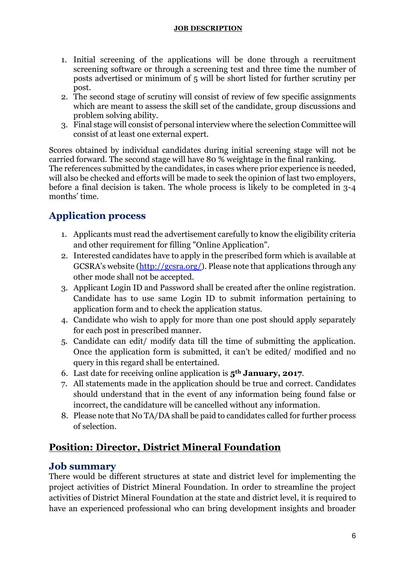- 1. Initial screening of the applications will be done through a recruitment screening software or through a screening test and three time the number of posts advertised or minimum of 5 will be short listed for further scrutiny per post.
- 2. The second stage of scrutiny will consist of review of few specific assignments which are meant to assess the skill set of the candidate, group discussions and problem solving ability.
- 3. Final stage will consist of personal interview where the selection Committee will consist of at least one external expert.

Scores obtained by individual candidates during initial screening stage will not be carried forward. The second stage will have 80 % weightage in the final ranking. The references submitted by the candidates, in cases where prior experience is needed, will also be checked and efforts will be made to seek the opinion of last two employers, before a final decision is taken. The whole process is likely to be completed in 3-4 months' time.

## **Application process**

- 1. Applicants must read the advertisement carefully to know the eligibility criteria and other requirement for filling "Online Application".
- 2. Interested candidates have to apply in the prescribed form which is available at GCSRA's website ([http://gcsra.org/\)](http://gcsra.org/). Please note that applications through any other mode shall not be accepted.
- 3. Applicant Login ID and Password shall be created after the online registration. Candidate has to use same Login ID to submit information pertaining to application form and to check the application status.
- 4. Candidate who wish to apply for more than one post should apply separately for each post in prescribed manner.
- 5. Candidate can edit/ modify data till the time of submitting the application. Once the application form is submitted, it can't be edited/ modified and no query in this regard shall be entertained.
- 6. Last date for receiving online application is **5th January, 2017**.
- 7. All statements made in the application should be true and correct. Candidates should understand that in the event of any information being found false or incorrect, the candidature will be cancelled without any information.
- 8. Please note that No TA/DA shall be paid to candidates called for further process of selection.

### **Position: Director, District Mineral Foundation**

#### **Job summary**

There would be different structures at state and district level for implementing the project activities of District Mineral Foundation. In order to streamline the project activities of District Mineral Foundation at the state and district level, it is required to have an experienced professional who can bring development insights and broader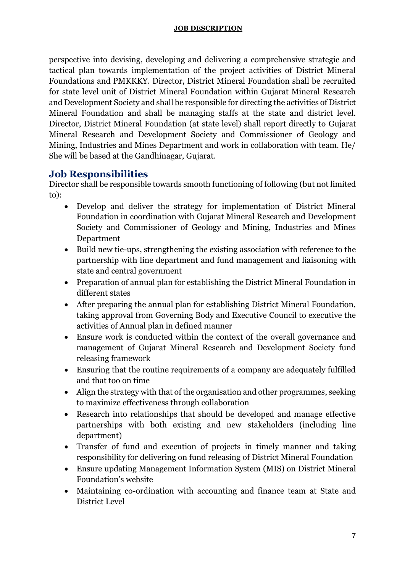perspective into devising, developing and delivering a comprehensive strategic and tactical plan towards implementation of the project activities of District Mineral Foundations and PMKKKY. Director, District Mineral Foundation shall be recruited for state level unit of District Mineral Foundation within Gujarat Mineral Research and Development Society and shall be responsible for directing the activities of District Mineral Foundation and shall be managing staffs at the state and district level. Director, District Mineral Foundation (at state level) shall report directly to Gujarat Mineral Research and Development Society and Commissioner of Geology and Mining, Industries and Mines Department and work in collaboration with team. He/ She will be based at the Gandhinagar, Gujarat.

#### **Job Responsibilities**

Director shall be responsible towards smooth functioning of following (but not limited to):

- Develop and deliver the strategy for implementation of District Mineral Foundation in coordination with Gujarat Mineral Research and Development Society and Commissioner of Geology and Mining, Industries and Mines Department
- Build new tie-ups, strengthening the existing association with reference to the partnership with line department and fund management and liaisoning with state and central government
- Preparation of annual plan for establishing the District Mineral Foundation in different states
- After preparing the annual plan for establishing District Mineral Foundation, taking approval from Governing Body and Executive Council to executive the activities of Annual plan in defined manner
- Ensure work is conducted within the context of the overall governance and management of Gujarat Mineral Research and Development Society fund releasing framework
- Ensuring that the routine requirements of a company are adequately fulfilled and that too on time
- Align the strategy with that of the organisation and other programmes, seeking to maximize effectiveness through collaboration
- Research into relationships that should be developed and manage effective partnerships with both existing and new stakeholders (including line department)
- Transfer of fund and execution of projects in timely manner and taking responsibility for delivering on fund releasing of District Mineral Foundation
- Ensure updating Management Information System (MIS) on District Mineral Foundation's website
- Maintaining co-ordination with accounting and finance team at State and District Level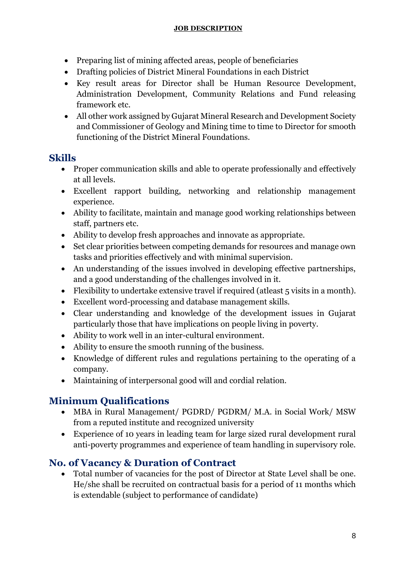- Preparing list of mining affected areas, people of beneficiaries
- Drafting policies of District Mineral Foundations in each District
- Key result areas for Director shall be Human Resource Development, Administration Development, Community Relations and Fund releasing framework etc.
- All other work assigned by Gujarat Mineral Research and Development Society and Commissioner of Geology and Mining time to time to Director for smooth functioning of the District Mineral Foundations.

#### **Skills**

- Proper communication skills and able to operate professionally and effectively at all levels.
- Excellent rapport building, networking and relationship management experience.
- Ability to facilitate, maintain and manage good working relationships between staff, partners etc.
- Ability to develop fresh approaches and innovate as appropriate.
- Set clear priorities between competing demands for resources and manage own tasks and priorities effectively and with minimal supervision.
- An understanding of the issues involved in developing effective partnerships, and a good understanding of the challenges involved in it.
- Flexibility to undertake extensive travel if required (atleast 5 visits in a month).
- Excellent word-processing and database management skills.
- Clear understanding and knowledge of the development issues in Gujarat particularly those that have implications on people living in poverty.
- Ability to work well in an inter-cultural environment.
- Ability to ensure the smooth running of the business.
- Knowledge of different rules and regulations pertaining to the operating of a company.
- Maintaining of interpersonal good will and cordial relation.

# **Minimum Qualifications**

- MBA in Rural Management/ PGDRD/ PGDRM/ M.A. in Social Work/ MSW from a reputed institute and recognized university
- Experience of 10 years in leading team for large sized rural development rural anti-poverty programmes and experience of team handling in supervisory role.

# **No. of Vacancy & Duration of Contract**

 Total number of vacancies for the post of Director at State Level shall be one. He/she shall be recruited on contractual basis for a period of 11 months which is extendable (subject to performance of candidate)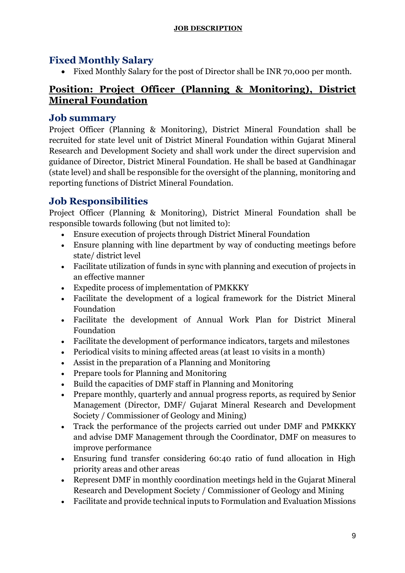#### **Fixed Monthly Salary**

Fixed Monthly Salary for the post of Director shall be INR 70,000 per month.

### **Position: Project Officer (Planning & Monitoring), District Mineral Foundation**

#### **Job summary**

Project Officer (Planning & Monitoring), District Mineral Foundation shall be recruited for state level unit of District Mineral Foundation within Gujarat Mineral Research and Development Society and shall work under the direct supervision and guidance of Director, District Mineral Foundation. He shall be based at Gandhinagar (state level) and shall be responsible for the oversight of the planning, monitoring and reporting functions of District Mineral Foundation.

### **Job Responsibilities**

Project Officer (Planning & Monitoring), District Mineral Foundation shall be responsible towards following (but not limited to):

- Ensure execution of projects through District Mineral Foundation
- Ensure planning with line department by way of conducting meetings before state/ district level
- Facilitate utilization of funds in sync with planning and execution of projects in an effective manner
- Expedite process of implementation of PMKKKY
- Facilitate the development of a logical framework for the District Mineral Foundation
- Facilitate the development of Annual Work Plan for District Mineral Foundation
- Facilitate the development of performance indicators, targets and milestones
- Periodical visits to mining affected areas (at least 10 visits in a month)
- Assist in the preparation of a Planning and Monitoring
- Prepare tools for Planning and Monitoring
- Build the capacities of DMF staff in Planning and Monitoring
- Prepare monthly, quarterly and annual progress reports, as required by Senior Management (Director, DMF/ Gujarat Mineral Research and Development Society / Commissioner of Geology and Mining)
- Track the performance of the projects carried out under DMF and PMKKKY and advise DMF Management through the Coordinator, DMF on measures to improve performance
- Ensuring fund transfer considering 60:40 ratio of fund allocation in High priority areas and other areas
- Represent DMF in monthly coordination meetings held in the Gujarat Mineral Research and Development Society / Commissioner of Geology and Mining
- Facilitate and provide technical inputs to Formulation and Evaluation Missions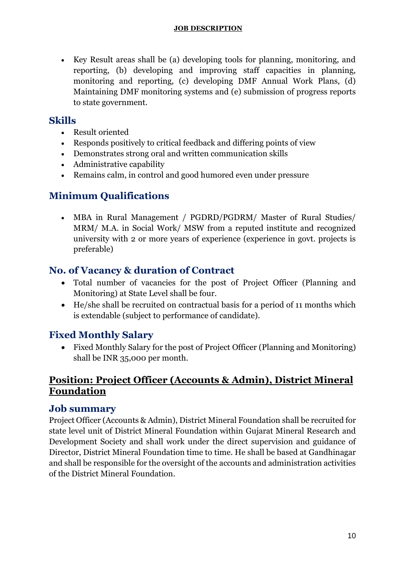• Key Result areas shall be (a) developing tools for planning, monitoring, and reporting, (b) developing and improving staff capacities in planning, monitoring and reporting, (c) developing DMF Annual Work Plans, (d) Maintaining DMF monitoring systems and (e) submission of progress reports to state government.

#### **Skills**

- Result oriented
- Responds positively to critical feedback and differing points of view
- Demonstrates strong oral and written communication skills
- Administrative capability
- Remains calm, in control and good humored even under pressure

#### **Minimum Qualifications**

 MBA in Rural Management / PGDRD/PGDRM/ Master of Rural Studies/ MRM/ M.A. in Social Work/ MSW from a reputed institute and recognized university with 2 or more years of experience (experience in govt. projects is preferable)

#### **No. of Vacancy & duration of Contract**

- Total number of vacancies for the post of Project Officer (Planning and Monitoring) at State Level shall be four.
- He/she shall be recruited on contractual basis for a period of 11 months which is extendable (subject to performance of candidate).

#### **Fixed Monthly Salary**

 Fixed Monthly Salary for the post of Project Officer (Planning and Monitoring) shall be INR 35,000 per month.

#### **Position: Project Officer (Accounts & Admin), District Mineral Foundation**

#### **Job summary**

Project Officer (Accounts & Admin), District Mineral Foundation shall be recruited for state level unit of District Mineral Foundation within Gujarat Mineral Research and Development Society and shall work under the direct supervision and guidance of Director, District Mineral Foundation time to time. He shall be based at Gandhinagar and shall be responsible for the oversight of the accounts and administration activities of the District Mineral Foundation.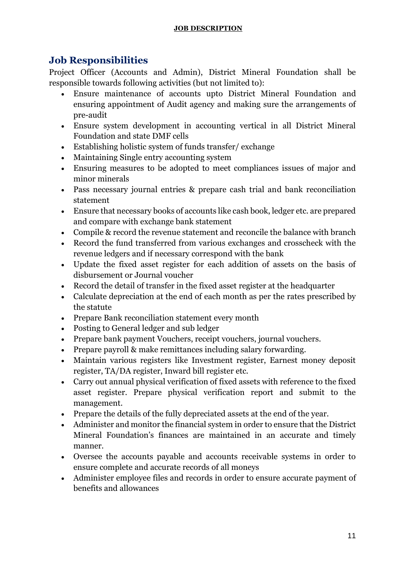# **Job Responsibilities**

Project Officer (Accounts and Admin), District Mineral Foundation shall be responsible towards following activities (but not limited to):

- Ensure maintenance of accounts upto District Mineral Foundation and ensuring appointment of Audit agency and making sure the arrangements of pre-audit
- Ensure system development in accounting vertical in all District Mineral Foundation and state DMF cells
- Establishing holistic system of funds transfer/ exchange
- Maintaining Single entry accounting system
- Ensuring measures to be adopted to meet compliances issues of major and minor minerals
- Pass necessary journal entries & prepare cash trial and bank reconciliation statement
- Ensure that necessary books of accounts like cash book, ledger etc. are prepared and compare with exchange bank statement
- Compile & record the revenue statement and reconcile the balance with branch
- Record the fund transferred from various exchanges and crosscheck with the revenue ledgers and if necessary correspond with the bank
- Update the fixed asset register for each addition of assets on the basis of disbursement or Journal voucher
- Record the detail of transfer in the fixed asset register at the headquarter
- Calculate depreciation at the end of each month as per the rates prescribed by the statute
- Prepare Bank reconciliation statement every month
- Posting to General ledger and sub ledger
- Prepare bank payment Vouchers, receipt vouchers, journal vouchers.
- Prepare payroll & make remittances including salary forwarding.
- Maintain various registers like Investment register, Earnest money deposit register, TA/DA register, Inward bill register etc.
- Carry out annual physical verification of fixed assets with reference to the fixed asset register. Prepare physical verification report and submit to the management.
- Prepare the details of the fully depreciated assets at the end of the year.
- Administer and monitor the financial system in order to ensure that the District Mineral Foundation's finances are maintained in an accurate and timely manner.
- Oversee the accounts payable and accounts receivable systems in order to ensure complete and accurate records of all moneys
- Administer employee files and records in order to ensure accurate payment of benefits and allowances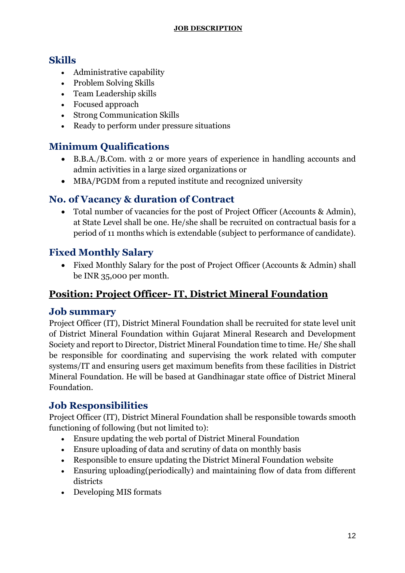#### **Skills**

- Administrative capability
- Problem Solving Skills
- Team Leadership skills
- Focused approach
- Strong Communication Skills
- Ready to perform under pressure situations

#### **Minimum Qualifications**

- B.B.A./B.Com. with 2 or more years of experience in handling accounts and admin activities in a large sized organizations or
- MBA/PGDM from a reputed institute and recognized university

#### **No. of Vacancy & duration of Contract**

 Total number of vacancies for the post of Project Officer (Accounts & Admin), at State Level shall be one. He/she shall be recruited on contractual basis for a period of 11 months which is extendable (subject to performance of candidate).

#### **Fixed Monthly Salary**

 Fixed Monthly Salary for the post of Project Officer (Accounts & Admin) shall be INR 35,000 per month.

### **Position: Project Officer- IT, District Mineral Foundation**

#### **Job summary**

Project Officer (IT), District Mineral Foundation shall be recruited for state level unit of District Mineral Foundation within Gujarat Mineral Research and Development Society and report to Director, District Mineral Foundation time to time. He/ She shall be responsible for coordinating and supervising the work related with computer systems/IT and ensuring users get maximum benefits from these facilities in District Mineral Foundation. He will be based at Gandhinagar state office of District Mineral Foundation.

#### **Job Responsibilities**

Project Officer (IT), District Mineral Foundation shall be responsible towards smooth functioning of following (but not limited to):

- Ensure updating the web portal of District Mineral Foundation
- Ensure uploading of data and scrutiny of data on monthly basis
- Responsible to ensure updating the District Mineral Foundation website
- Ensuring uploading(periodically) and maintaining flow of data from different districts
- Developing MIS formats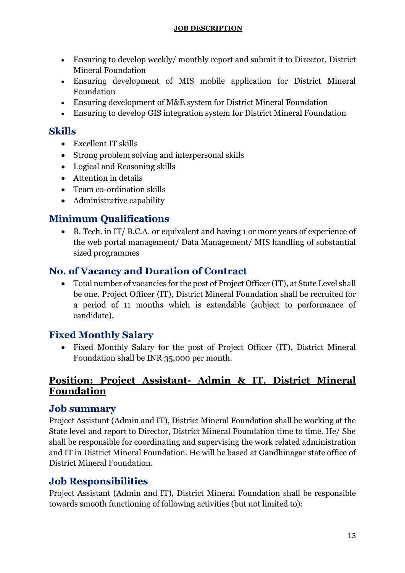- Ensuring to develop weekly/ monthly report and submit it to Director, District Mineral Foundation
- Ensuring development of MIS mobile application for District Mineral Foundation
- Ensuring development of M&E system for District Mineral Foundation
- Ensuring to develop GIS integration system for District Mineral Foundation

#### **Skills**

- Excellent IT skills
- Strong problem solving and interpersonal skills
- Logical and Reasoning skills
- Attention in details
- Team co-ordination skills
- Administrative capability

#### **Minimum Qualifications**

 B. Tech. in IT/ B.C.A. or equivalent and having 1 or more years of experience of the web portal management/ Data Management/ MIS handling of substantial sized programmes

#### **No. of Vacancy and Duration of Contract**

 Total number of vacancies for the post of Project Officer (IT), at State Level shall be one. Project Officer (IT), District Mineral Foundation shall be recruited for a period of 11 months which is extendable (subject to performance of candidate).

#### **Fixed Monthly Salary**

 Fixed Monthly Salary for the post of Project Officer (IT), District Mineral Foundation shall be INR 35,000 per month.

#### **Position: Project Assistant- Admin & IT, District Mineral Foundation**

#### **Job summary**

Project Assistant (Admin and IT), District Mineral Foundation shall be working at the State level and report to Director, District Mineral Foundation time to time. He/ She shall be responsible for coordinating and supervising the work related administration and IT in District Mineral Foundation. He will be based at Gandhinagar state office of District Mineral Foundation.

### **Job Responsibilities**

Project Assistant (Admin and IT), District Mineral Foundation shall be responsible towards smooth functioning of following activities (but not limited to):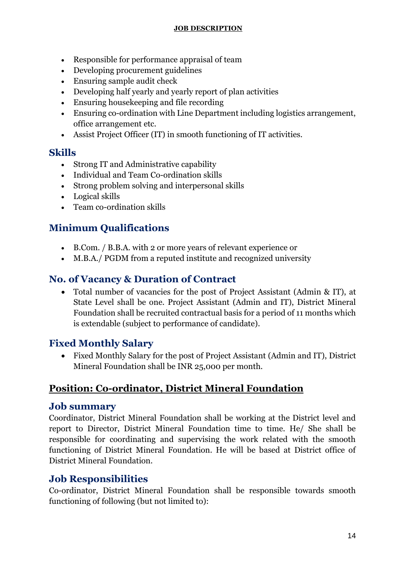- Responsible for performance appraisal of team
- Developing procurement guidelines
- Ensuring sample audit check
- Developing half yearly and yearly report of plan activities
- Ensuring housekeeping and file recording
- Ensuring co-ordination with Line Department including logistics arrangement, office arrangement etc.
- Assist Project Officer (IT) in smooth functioning of IT activities.

#### **Skills**

- Strong IT and Administrative capability
- Individual and Team Co-ordination skills
- Strong problem solving and interpersonal skills
- Logical skills
- Team co-ordination skills

### **Minimum Qualifications**

- B.Com. / B.B.A. with 2 or more years of relevant experience or
- M.B.A./ PGDM from a reputed institute and recognized university

#### **No. of Vacancy & Duration of Contract**

 Total number of vacancies for the post of Project Assistant (Admin & IT), at State Level shall be one. Project Assistant (Admin and IT), District Mineral Foundation shall be recruited contractual basis for a period of 11 months which is extendable (subject to performance of candidate).

#### **Fixed Monthly Salary**

 Fixed Monthly Salary for the post of Project Assistant (Admin and IT), District Mineral Foundation shall be INR 25,000 per month.

### **Position: Co-ordinator, District Mineral Foundation**

#### **Job summary**

Coordinator, District Mineral Foundation shall be working at the District level and report to Director, District Mineral Foundation time to time. He/ She shall be responsible for coordinating and supervising the work related with the smooth functioning of District Mineral Foundation. He will be based at District office of District Mineral Foundation.

#### **Job Responsibilities**

Co-ordinator, District Mineral Foundation shall be responsible towards smooth functioning of following (but not limited to):